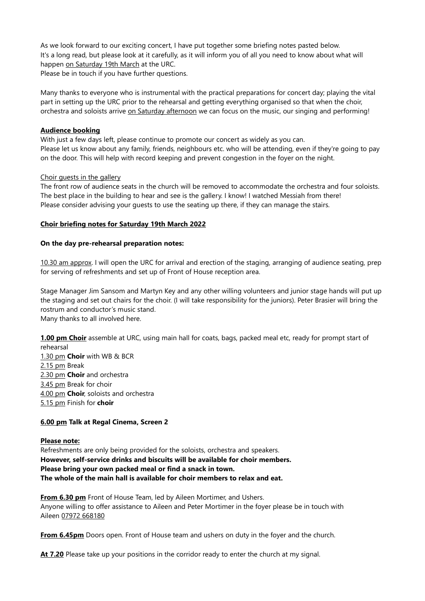As we look forward to our exciting concert, I have put together some briefing notes pasted below. It's a long read, but please look at it carefully, as it will inform you of all you need to know about what will happen on Saturday 19th March at the URC.

Please be in touch if you have further questions.

Many thanks to everyone who is instrumental with the practical preparations for concert day; playing the vital part in setting up the URC prior to the rehearsal and getting everything organised so that when the choir, orchestra and soloists arrive on Saturday afternoon we can focus on the music, our singing and performing!

# Audience booking

With just a few days left, please continue to promote our concert as widely as you can. Please let us know about any family, friends, neighbours etc. who will be attending, even if they're going to pay on the door. This will help with record keeping and prevent congestion in the foyer on the night.

### Choir guests in the gallery

The front row of audience seats in the church will be removed to accommodate the orchestra and four soloists. The best place in the building to hear and see is the gallery. I know! I watched Messiah from there! Please consider advising your guests to use the seating up there, if they can manage the stairs.

### Choir briefing notes for Saturday 19th March 2022

### On the day pre-rehearsal preparation notes:

10.30 am approx. I will open the URC for arrival and erection of the staging, arranging of audience seating, prep for serving of refreshments and set up of Front of House reception area.

Stage Manager Jim Sansom and Martyn Key and any other willing volunteers and junior stage hands will put up the staging and set out chairs for the choir. (I will take responsibility for the juniors). Peter Brasier will bring the rostrum and conductor's music stand.

Many thanks to all involved here.

1.00 pm Choir assemble at URC, using main hall for coats, bags, packed meal etc, ready for prompt start of rehearsal

1.30 pm Choir with WB & BCR 2.15 pm Break 2.30 pm Choir and orchestra 3.45 pm Break for choir 4.00 pm Choir, soloists and orchestra 5.15 pm Finish for choir

# 6.00 pm Talk at Regal Cinema, Screen 2

# Please note:

Refreshments are only being provided for the soloists, orchestra and speakers. However, self-service drinks and biscuits will be available for choir members. Please bring your own packed meal or find a snack in town. The whole of the main hall is available for choir members to relax and eat.

From 6.30 pm Front of House Team, led by Aileen Mortimer, and Ushers. Anyone willing to offer assistance to Aileen and Peter Mortimer in the foyer please be in touch with Aileen 07972 668180

From 6.45pm Doors open. Front of House team and ushers on duty in the foyer and the church.

At 7.20 Please take up your positions in the corridor ready to enter the church at my signal.